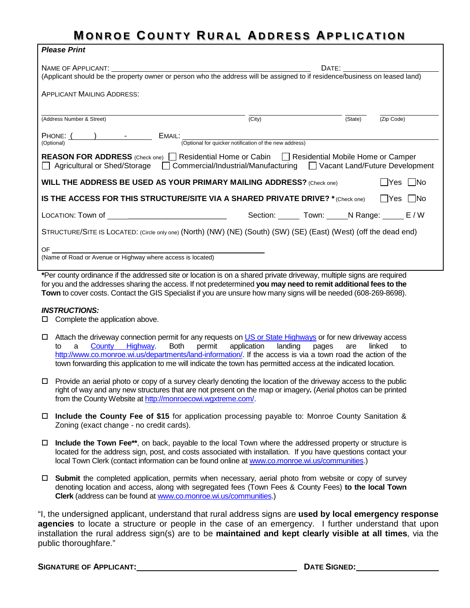## **M ONROE C OUNTY R URAL A DDRESS APPLICATION**

| <b>Please Print</b>                                                                                                                                                                                                          |                             |                    |                      |  |  |  |  |
|------------------------------------------------------------------------------------------------------------------------------------------------------------------------------------------------------------------------------|-----------------------------|--------------------|----------------------|--|--|--|--|
|                                                                                                                                                                                                                              |                             |                    |                      |  |  |  |  |
| APPLICANT MAILING ADDRESS:                                                                                                                                                                                                   |                             |                    |                      |  |  |  |  |
| (Address Number & Street)                                                                                                                                                                                                    | (City)                      | (State) (Zip Code) |                      |  |  |  |  |
| PHONE: ( internal) - - EMAIL:<br>(Optional for quicker notification of the new address)                                                                                                                                      |                             |                    |                      |  |  |  |  |
| <b>REASON FOR ADDRESS</b> (Check one) <b>C</b> Residential Home or Cabin <b>C</b> Residential Mobile Home or Camper<br>△ Agricultural or Shed/Storage △ Commercial/Industrial/Manufacturing △ Vacant Land/Future Development |                             |                    |                      |  |  |  |  |
| WILL THE ADDRESS BE USED AS YOUR PRIMARY MAILING ADDRESS? (Check one)                                                                                                                                                        |                             |                    | $\Box$ Yes $\Box$ No |  |  |  |  |
| IS THE ACCESS FOR THIS STRUCTURE/SITE VIA A SHARED PRIVATE DRIVE? $*(Check one)$ $\Box$ Yes $\Box$ No                                                                                                                        |                             |                    |                      |  |  |  |  |
| LOCATION: Town of ___________________________                                                                                                                                                                                | Section: Town: N Range: E/W |                    |                      |  |  |  |  |
| STRUCTURE/SITE IS LOCATED: (Circle only one) (North) (NW) (NE) (South) (SW) (SE) (East) (West) (off the dead end)                                                                                                            |                             |                    |                      |  |  |  |  |
|                                                                                                                                                                                                                              |                             |                    |                      |  |  |  |  |

**\***Per county ordinance if the addressed site or location is on a shared private driveway, multiple signs are required for you and the addresses sharing the access. If not predetermined **you may need to remit additional fees to the Town** to cover costs. Contact the GIS Specialist if you are unsure how many signs will be needed (608-269-8698).

## *INSTRUCTIONS:*

- $\Box$  Complete the application above.
- □ Attach the driveway connection permit for any requests on [US or State Highways](https://wisconsindot.gov/Documents/formdocs/dt1504.doc) or for new driveway access<br>to a County Highway. Both permit application landing pages are linked to to a [County Highway.](http://www.co.monroe.wi.us/wp-content/uploads/2012/01/Driveway-Permit-Application.pdf) Both permit application landing pages are linked to [http://www.co.monroe.wi.us/departments/land-information/.](http://www.co.monroe.wi.us/departments/land-information/) If the access is via a town road the action of the town forwarding this application to me will indicate the town has permitted access at the indicated location.
- $\Box$  Provide an aerial photo or copy of a survey clearly denoting the location of the driveway access to the public right of way and any new structures that are not present on the map or imagery**.** (Aerial photos can be printed from the County Website at [http://monroecowi.wgxtreme.com/.](http://monroecowi.wgxtreme.com/)
- **Include the County Fee of \$15** for application processing payable to: Monroe County Sanitation & Zoning (exact change - no credit cards).
- **Include the Town Fee\*\***, on back, payable to the local Town where the addressed property or structure is located for the address sign, post, and costs associated with installation. If you have questions contact your local Town Clerk (contact information can be found online at [www.co.monroe.wi.us/communities.](http://www.co.monroe.wi.us/communities))
- **Submit** the completed application, permits when necessary, aerial photo from website or copy of survey denoting location and access, along with segregated fees (Town Fees & County Fees) **to the local Town Clerk** (address can be found a[t www.co.monroe.wi.us/communities.](http://www.co.monroe.wi.us/communities))

"I, the undersigned applicant, understand that rural address signs are **used by local emergency response agencies** to locate a structure or people in the case of an emergency. I further understand that upon installation the rural address sign(s) are to be **maintained and kept clearly visible at all times**, via the public thoroughfare."

**SIGNATURE OF APPLICANT: DATE SIGNED: DATE SIGNED:**